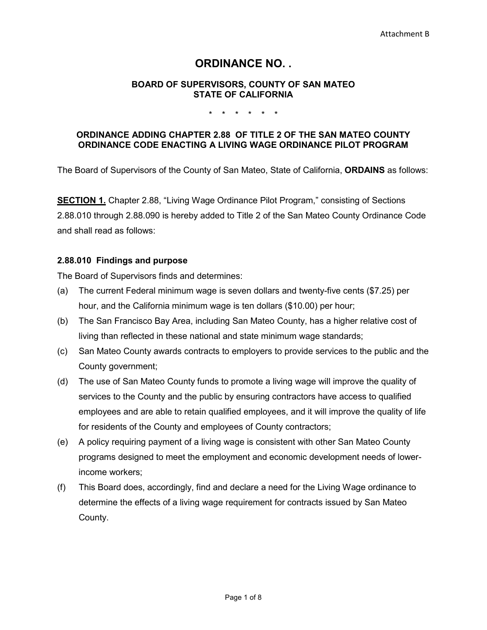# **ORDINANCE NO. .**

### **BOARD OF SUPERVISORS, COUNTY OF SAN MATEO STATE OF CALIFORNIA**

#### \* \* \* \* \* \*

# **ORDINANCE ADDING CHAPTER 2.88 OF TITLE 2 OF THE SAN MATEO COUNTY ORDINANCE CODE ENACTING A LIVING WAGE ORDINANCE PILOT PROGRAM**

The Board of Supervisors of the County of San Mateo, State of California, **ORDAINS** as follows:

**SECTION 1.** Chapter 2.88, "Living Wage Ordinance Pilot Program," consisting of Sections 2.88.010 through 2.88.090 is hereby added to Title 2 of the San Mateo County Ordinance Code and shall read as follows:

## **2.88.010 Findings and purpose**

The Board of Supervisors finds and determines:

- (a) The current Federal minimum wage is seven dollars and twenty-five cents (\$7.25) per hour, and the California minimum wage is ten dollars (\$10.00) per hour;
- (b) The San Francisco Bay Area, including San Mateo County, has a higher relative cost of living than reflected in these national and state minimum wage standards;
- (c) San Mateo County awards contracts to employers to provide services to the public and the County government;
- (d) The use of San Mateo County funds to promote a living wage will improve the quality of services to the County and the public by ensuring contractors have access to qualified employees and are able to retain qualified employees, and it will improve the quality of life for residents of the County and employees of County contractors;
- (e) A policy requiring payment of a living wage is consistent with other San Mateo County programs designed to meet the employment and economic development needs of lowerincome workers;
- (f) This Board does, accordingly, find and declare a need for the Living Wage ordinance to determine the effects of a living wage requirement for contracts issued by San Mateo County.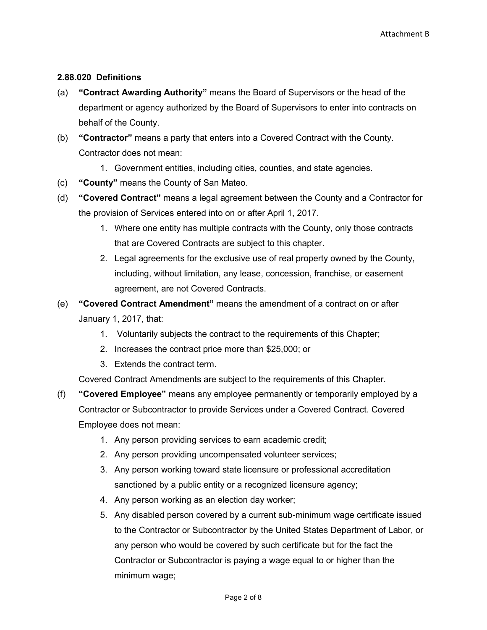# **2.88.020 Definitions**

- (a) **"Contract Awarding Authority"** means the Board of Supervisors or the head of the department or agency authorized by the Board of Supervisors to enter into contracts on behalf of the County.
- (b) **"Contractor"** means a party that enters into a Covered Contract with the County. Contractor does not mean:
	- 1. Government entities, including cities, counties, and state agencies.
- (c) **"County"** means the County of San Mateo.
- (d) **"Covered Contract"** means a legal agreement between the County and a Contractor for the provision of Services entered into on or after April 1, 2017.
	- 1. Where one entity has multiple contracts with the County, only those contracts that are Covered Contracts are subject to this chapter.
	- 2. Legal agreements for the exclusive use of real property owned by the County, including, without limitation, any lease, concession, franchise, or easement agreement, are not Covered Contracts.
- (e) **"Covered Contract Amendment"** means the amendment of a contract on or after January 1, 2017, that:
	- 1. Voluntarily subjects the contract to the requirements of this Chapter;
	- 2. Increases the contract price more than \$25,000; or
	- 3. Extends the contract term.

Covered Contract Amendments are subject to the requirements of this Chapter.

- (f) **"Covered Employee"** means any employee permanently or temporarily employed by a Contractor or Subcontractor to provide Services under a Covered Contract. Covered Employee does not mean:
	- 1. Any person providing services to earn academic credit;
	- 2. Any person providing uncompensated volunteer services;
	- 3. Any person working toward state licensure or professional accreditation sanctioned by a public entity or a recognized licensure agency;
	- 4. Any person working as an election day worker;
	- 5. Any disabled person covered by a current sub-minimum wage certificate issued to the Contractor or Subcontractor by the United States Department of Labor, or any person who would be covered by such certificate but for the fact the Contractor or Subcontractor is paying a wage equal to or higher than the minimum wage;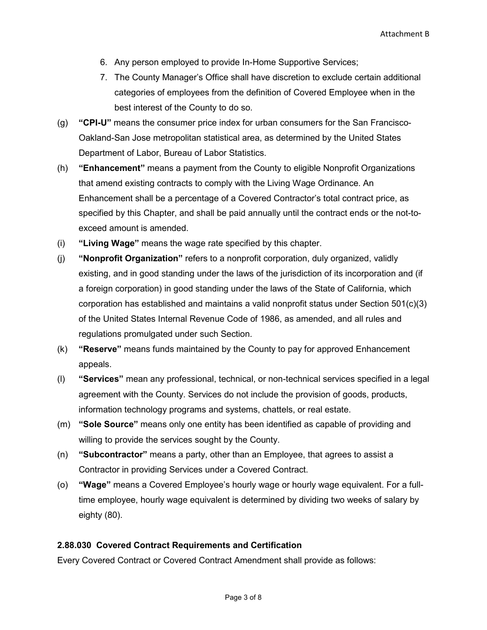- 6. Any person employed to provide In-Home Supportive Services;
- 7. The County Manager's Office shall have discretion to exclude certain additional categories of employees from the definition of Covered Employee when in the best interest of the County to do so.
- (g) **"CPI-U"** means the consumer price index for urban consumers for the San Francisco-Oakland-San Jose metropolitan statistical area, as determined by the United States Department of Labor, Bureau of Labor Statistics.
- (h) **"Enhancement"** means a payment from the County to eligible Nonprofit Organizations that amend existing contracts to comply with the Living Wage Ordinance. An Enhancement shall be a percentage of a Covered Contractor's total contract price, as specified by this Chapter, and shall be paid annually until the contract ends or the not-toexceed amount is amended.
- (i) **"Living Wage"** means the wage rate specified by this chapter.
- (j) **"Nonprofit Organization"** refers to a nonprofit corporation, duly organized, validly existing, and in good standing under the laws of the jurisdiction of its incorporation and (if a foreign corporation) in good standing under the laws of the State of California, which corporation has established and maintains a valid nonprofit status under Section 501(c)(3) of the United States Internal Revenue Code of 1986, as amended, and all rules and regulations promulgated under such Section.
- (k) **"Reserve"** means funds maintained by the County to pay for approved Enhancement appeals.
- (l) **"Services"** mean any professional, technical, or non-technical services specified in a legal agreement with the County. Services do not include the provision of goods, products, information technology programs and systems, chattels, or real estate.
- (m) **"Sole Source"** means only one entity has been identified as capable of providing and willing to provide the services sought by the County.
- (n) **"Subcontractor"** means a party, other than an Employee, that agrees to assist a Contractor in providing Services under a Covered Contract.
- (o) **"Wage"** means a Covered Employee's hourly wage or hourly wage equivalent. For a fulltime employee, hourly wage equivalent is determined by dividing two weeks of salary by eighty (80).

# **2.88.030 Covered Contract Requirements and Certification**

Every Covered Contract or Covered Contract Amendment shall provide as follows: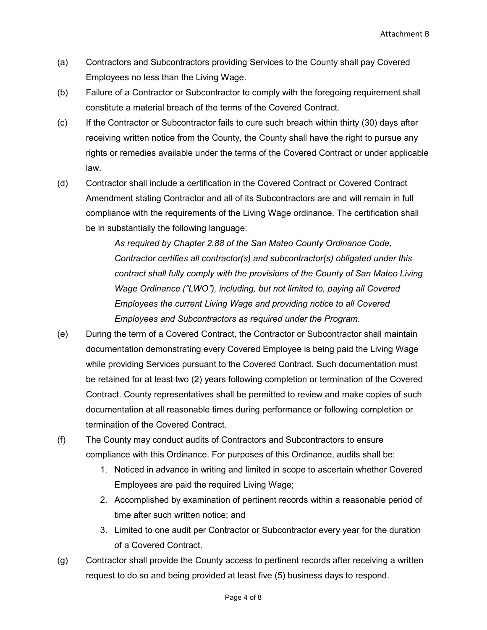- (a) Contractors and Subcontractors providing Services to the County shall pay Covered Employees no less than the Living Wage.
- (b) Failure of a Contractor or Subcontractor to comply with the foregoing requirement shall constitute a material breach of the terms of the Covered Contract.
- (c) If the Contractor or Subcontractor fails to cure such breach within thirty (30) days after receiving written notice from the County, the County shall have the right to pursue any rights or remedies available under the terms of the Covered Contract or under applicable law.
- (d) Contractor shall include a certification in the Covered Contract or Covered Contract Amendment stating Contractor and all of its Subcontractors are and will remain in full compliance with the requirements of the Living Wage ordinance. The certification shall be in substantially the following language:

*As required by Chapter 2.88 of the San Mateo County Ordinance Code, Contractor certifies all contractor(s) and subcontractor(s) obligated under this contract shall fully comply with the provisions of the County of San Mateo Living Wage Ordinance ("LWO"), including, but not limited to, paying all Covered Employees the current Living Wage and providing notice to all Covered Employees and Subcontractors as required under the Program.* 

- (e) During the term of a Covered Contract, the Contractor or Subcontractor shall maintain documentation demonstrating every Covered Employee is being paid the Living Wage while providing Services pursuant to the Covered Contract. Such documentation must be retained for at least two (2) years following completion or termination of the Covered Contract. County representatives shall be permitted to review and make copies of such documentation at all reasonable times during performance or following completion or termination of the Covered Contract.
- (f) The County may conduct audits of Contractors and Subcontractors to ensure compliance with this Ordinance. For purposes of this Ordinance, audits shall be:
	- 1. Noticed in advance in writing and limited in scope to ascertain whether Covered Employees are paid the required Living Wage;
	- 2. Accomplished by examination of pertinent records within a reasonable period of time after such written notice; and
	- 3. Limited to one audit per Contractor or Subcontractor every year for the duration of a Covered Contract.
- (g) Contractor shall provide the County access to pertinent records after receiving a written request to do so and being provided at least five (5) business days to respond.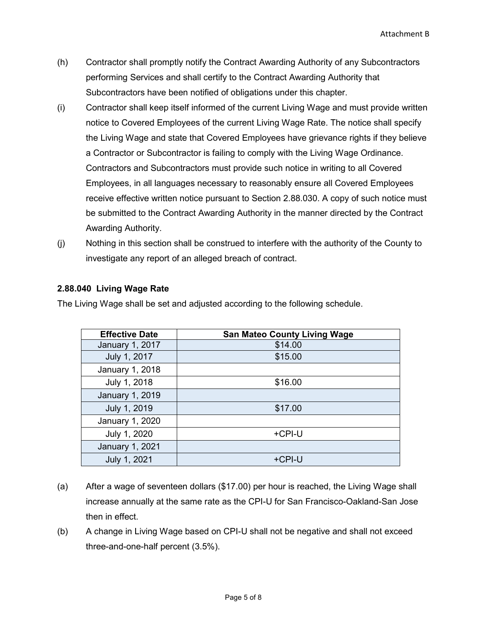- (h) Contractor shall promptly notify the Contract Awarding Authority of any Subcontractors performing Services and shall certify to the Contract Awarding Authority that Subcontractors have been notified of obligations under this chapter.
- (i) Contractor shall keep itself informed of the current Living Wage and must provide written notice to Covered Employees of the current Living Wage Rate. The notice shall specify the Living Wage and state that Covered Employees have grievance rights if they believe a Contractor or Subcontractor is failing to comply with the Living Wage Ordinance. Contractors and Subcontractors must provide such notice in writing to all Covered Employees, in all languages necessary to reasonably ensure all Covered Employees receive effective written notice pursuant to Section 2.88.030. A copy of such notice must be submitted to the Contract Awarding Authority in the manner directed by the Contract Awarding Authority.
- (j) Nothing in this section shall be construed to interfere with the authority of the County to investigate any report of an alleged breach of contract.

# **2.88.040 Living Wage Rate**

The Living Wage shall be set and adjusted according to the following schedule.

| <b>Effective Date</b>  | <b>San Mateo County Living Wage</b> |
|------------------------|-------------------------------------|
| January 1, 2017        | \$14.00                             |
| July 1, 2017           | \$15.00                             |
| January 1, 2018        |                                     |
| July 1, 2018           | \$16.00                             |
| <b>January 1, 2019</b> |                                     |
| July 1, 2019           | \$17.00                             |
| January 1, 2020        |                                     |
| July 1, 2020           | +CPI-U                              |
| January 1, 2021        |                                     |
| July 1, 2021           | +CPI-U                              |

- (a) After a wage of seventeen dollars (\$17.00) per hour is reached, the Living Wage shall increase annually at the same rate as the CPI-U for San Francisco-Oakland-San Jose then in effect.
- (b) A change in Living Wage based on CPI-U shall not be negative and shall not exceed three-and-one-half percent (3.5%).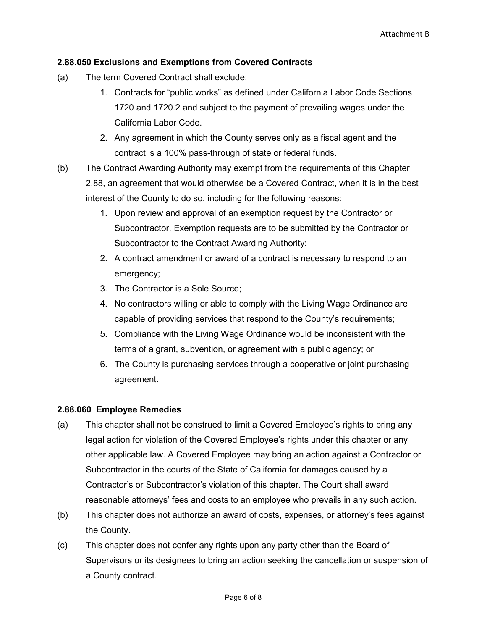# **2.88.050 Exclusions and Exemptions from Covered Contracts**

- (a) The term Covered Contract shall exclude:
	- 1. Contracts for "public works" as defined under California Labor Code Sections 1720 and 1720.2 and subject to the payment of prevailing wages under the California Labor Code.
	- 2. Any agreement in which the County serves only as a fiscal agent and the contract is a 100% pass-through of state or federal funds.
- (b) The Contract Awarding Authority may exempt from the requirements of this Chapter 2.88, an agreement that would otherwise be a Covered Contract, when it is in the best interest of the County to do so, including for the following reasons:
	- 1. Upon review and approval of an exemption request by the Contractor or Subcontractor. Exemption requests are to be submitted by the Contractor or Subcontractor to the Contract Awarding Authority;
	- 2. A contract amendment or award of a contract is necessary to respond to an emergency;
	- 3. The Contractor is a Sole Source;
	- 4. No contractors willing or able to comply with the Living Wage Ordinance are capable of providing services that respond to the County's requirements;
	- 5. Compliance with the Living Wage Ordinance would be inconsistent with the terms of a grant, subvention, or agreement with a public agency; or
	- 6. The County is purchasing services through a cooperative or joint purchasing agreement.

#### **2.88.060 Employee Remedies**

- (a) This chapter shall not be construed to limit a Covered Employee's rights to bring any legal action for violation of the Covered Employee's rights under this chapter or any other applicable law. A Covered Employee may bring an action against a Contractor or Subcontractor in the courts of the State of California for damages caused by a Contractor's or Subcontractor's violation of this chapter. The Court shall award reasonable attorneys' fees and costs to an employee who prevails in any such action.
- (b) This chapter does not authorize an award of costs, expenses, or attorney's fees against the County.
- (c) This chapter does not confer any rights upon any party other than the Board of Supervisors or its designees to bring an action seeking the cancellation or suspension of a County contract.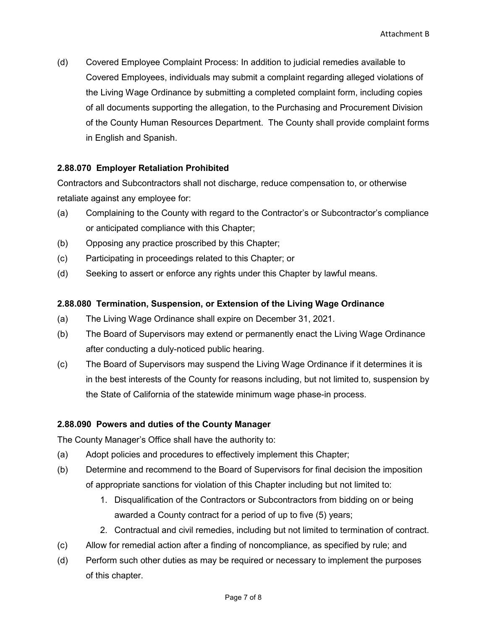(d) Covered Employee Complaint Process: In addition to judicial remedies available to Covered Employees, individuals may submit a complaint regarding alleged violations of the Living Wage Ordinance by submitting a completed complaint form, including copies of all documents supporting the allegation, to the Purchasing and Procurement Division of the County Human Resources Department. The County shall provide complaint forms in English and Spanish.

## **2.88.070 Employer Retaliation Prohibited**

Contractors and Subcontractors shall not discharge, reduce compensation to, or otherwise retaliate against any employee for:

- (a) Complaining to the County with regard to the Contractor's or Subcontractor's compliance or anticipated compliance with this Chapter;
- (b) Opposing any practice proscribed by this Chapter;
- (c) Participating in proceedings related to this Chapter; or
- (d) Seeking to assert or enforce any rights under this Chapter by lawful means.

## **2.88.080 Termination, Suspension, or Extension of the Living Wage Ordinance**

- (a) The Living Wage Ordinance shall expire on December 31, 2021.
- (b) The Board of Supervisors may extend or permanently enact the Living Wage Ordinance after conducting a duly-noticed public hearing.
- (c) The Board of Supervisors may suspend the Living Wage Ordinance if it determines it is in the best interests of the County for reasons including, but not limited to, suspension by the State of California of the statewide minimum wage phase-in process.

#### **2.88.090 Powers and duties of the County Manager**

The County Manager's Office shall have the authority to:

- (a) Adopt policies and procedures to effectively implement this Chapter;
- (b) Determine and recommend to the Board of Supervisors for final decision the imposition of appropriate sanctions for violation of this Chapter including but not limited to:
	- 1. Disqualification of the Contractors or Subcontractors from bidding on or being awarded a County contract for a period of up to five (5) years;
	- 2. Contractual and civil remedies, including but not limited to termination of contract.
- (c) Allow for remedial action after a finding of noncompliance, as specified by rule; and
- (d) Perform such other duties as may be required or necessary to implement the purposes of this chapter.